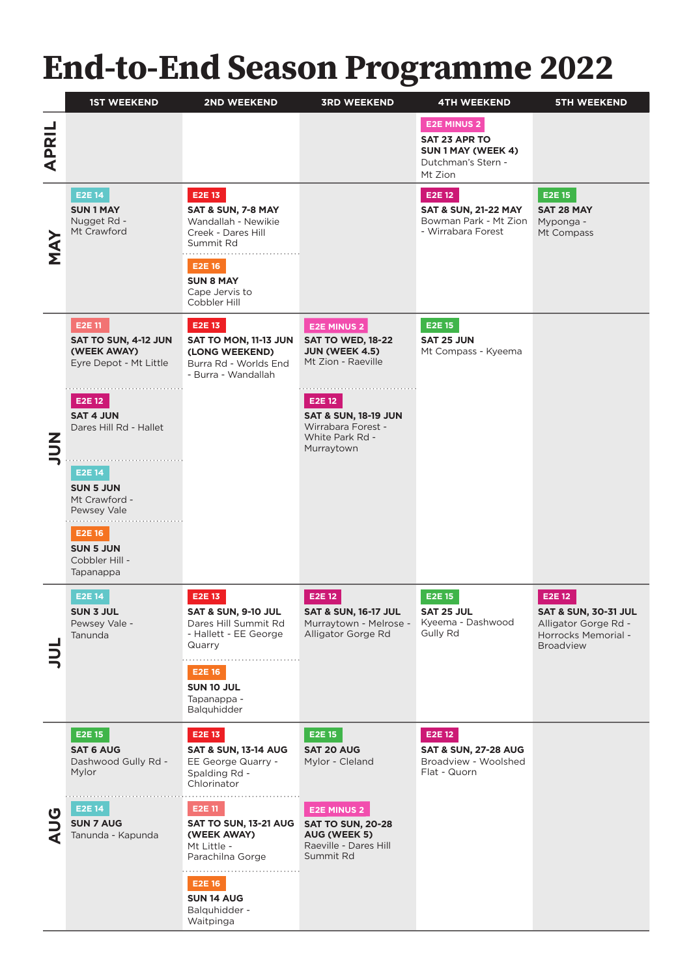# **End-to-End Season Programme 2022**

|                  | <b>1ST WEEKEND</b>                                                                                                                                                                                                                                                      | 2ND WEEKEND                                                                                                                                                                                                                                      | <b>3RD WEEKEND</b>                                                                                                                                                                                | <b>4TH WEEKEND</b>                                                                         | <b>5TH WEEKEND</b>                                                                                           |
|------------------|-------------------------------------------------------------------------------------------------------------------------------------------------------------------------------------------------------------------------------------------------------------------------|--------------------------------------------------------------------------------------------------------------------------------------------------------------------------------------------------------------------------------------------------|---------------------------------------------------------------------------------------------------------------------------------------------------------------------------------------------------|--------------------------------------------------------------------------------------------|--------------------------------------------------------------------------------------------------------------|
| <b>APRIL</b>     |                                                                                                                                                                                                                                                                         |                                                                                                                                                                                                                                                  |                                                                                                                                                                                                   | <b>E2E MINUS 2</b><br>SAT 23 APR TO<br>SUN 1 MAY (WEEK 4)<br>Dutchman's Stern -<br>Mt Zion |                                                                                                              |
| <b>MAY</b>       | E2E 14<br><b>SUN1MAY</b><br>Nugget Rd -<br>Mt Crawford                                                                                                                                                                                                                  | E2E 13<br>SAT & SUN, 7-8 MAY<br>Wandallah - Newikie<br>Creek - Dares Hill<br>Summit Rd<br><b>E2E16</b><br><b>SUN 8 MAY</b><br>Cape Jervis to<br>Cobbler Hill                                                                                     |                                                                                                                                                                                                   | E2E 12<br><b>SAT &amp; SUN, 21-22 MAY</b><br>Bowman Park - Mt Zion<br>- Wirrabara Forest   | <b>E2E15</b><br><b>SAT 28 MAY</b><br>Myponga -<br>Mt Compass                                                 |
| $\sum_{i=1}^{n}$ | E2E 11<br>SAT TO SUN, 4-12 JUN<br>(WEEK AWAY)<br>Eyre Depot - Mt Little<br>E2E 12<br><b>SAT 4 JUN</b><br>Dares Hill Rd - Hallet<br><b>E2E14</b><br><b>SUN 5 JUN</b><br>Mt Crawford -<br>Pewsey Vale<br><b>E2E 16</b><br><b>SUN 5 JUN</b><br>Cobbler Hill -<br>Tapanappa | E2E 13<br>SAT TO MON, 11-13 JUN<br>(LONG WEEKEND)<br>Burra Rd - Worlds End<br>- Burra - Wandallah                                                                                                                                                | <b>E2E MINUS 2</b><br><b>SAT TO WED, 18-22</b><br><b>JUN (WEEK 4.5)</b><br>Mt Zion - Raeville<br>E2E 12<br><b>SAT &amp; SUN, 18-19 JUN</b><br>Wirrabara Forest -<br>White Park Rd -<br>Murraytown | <b>E2E 15</b><br><b>SAT 25 JUN</b><br>Mt Compass - Kyeema                                  |                                                                                                              |
|                  | <b>E2E14</b><br><b>SUN 3 JUL</b><br>Pewsey Vale -<br>Tanunda                                                                                                                                                                                                            | E2E 13<br><b>SAT &amp; SUN, 9-10 JUL</b><br>Dares Hill Summit Rd<br>- Hallett - EE George<br>Quarry<br><b>E2E16</b><br>SUN 10 JUL<br>Tapanappa -<br>Balquhidder                                                                                  | E2E 12<br><b>SAT &amp; SUN, 16-17 JUL</b><br>Murraytown - Melrose -<br>Alligator Gorge Rd                                                                                                         | <b>E2E 15</b><br>SAT 25 JUL<br>Kyeema - Dashwood<br>Gully Rd                               | E2E 12<br><b>SAT &amp; SUN, 30-31 JUL</b><br>Alligator Gorge Rd -<br>Horrocks Memorial -<br><b>Broadview</b> |
| U                | E2E 15<br><b>SAT 6 AUG</b><br>Dashwood Gully Rd -<br>Mylor<br>E2E 14<br><b>SUN 7 AUG</b><br>Tanunda - Kapunda                                                                                                                                                           | E2E 13<br><b>SAT &amp; SUN, 13-14 AUG</b><br>EE George Quarry -<br>Spalding Rd -<br>Chlorinator<br>E2E 11<br>SAT TO SUN, 13-21 AUG<br>(WEEK AWAY)<br>Mt Little -<br>Parachilna Gorge<br><b>E2E16</b><br>SUN 14 AUG<br>Balguhidder -<br>Waitpinga | E2E 15<br><b>SAT 20 AUG</b><br>Mylor - Cleland<br><b>E2E MINUS 2</b><br><b>SAT TO SUN, 20-28</b><br>AUG (WEEK 5)<br>Raeville - Dares Hill<br>Summit Rd                                            | E2E 12<br><b>SAT &amp; SUN, 27-28 AUG</b><br>Broadview - Woolshed<br>Flat - Quorn          |                                                                                                              |